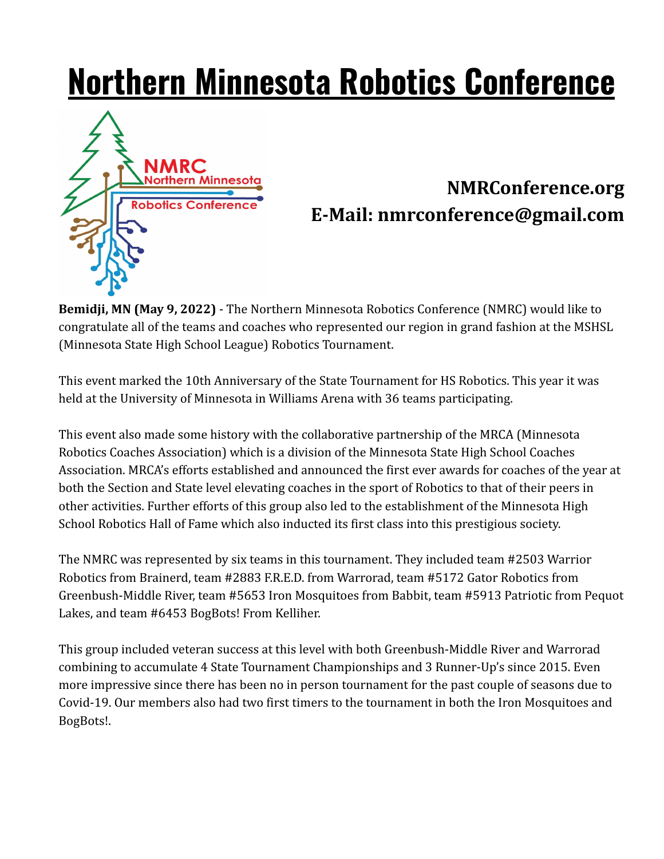## **Northern Minnesota Robotics Conference**



## **NMRConference.org E-Mail: nmrconference@gmail.com**

**Bemidji, MN (May 9, 2022)** - The Northern Minnesota Robotics Conference (NMRC) would like to congratulate all of the teams and coaches who represented our region in grand fashion at the MSHSL (Minnesota State High School League) Robotics Tournament.

This event marked the 10th Anniversary of the State Tournament for HS Robotics. This year it was held at the University of Minnesota in Williams Arena with 36 teams participating.

This event also made some history with the collaborative partnership of the MRCA (Minnesota Robotics Coaches Association) which is a division of the Minnesota State High School Coaches Association. MRCA's efforts established and announced the first ever awards for coaches of the year at both the Section and State level elevating coaches in the sport of Robotics to that of their peers in other activities. Further efforts of this group also led to the establishment of the Minnesota High School Robotics Hall of Fame which also inducted its first class into this prestigious society.

The NMRC was represented by six teams in this tournament. They included team #2503 Warrior Robotics from Brainerd, team #2883 F.R.E.D. from Warrorad, team #5172 Gator Robotics from Greenbush-Middle River, team #5653 Iron Mosquitoes from Babbit, team #5913 Patriotic from Pequot Lakes, and team #6453 BogBots! From Kelliher.

This group included veteran success at this level with both Greenbush-Middle River and Warrorad combining to accumulate 4 State Tournament Championships and 3 Runner-Up's since 2015. Even more impressive since there has been no in person tournament for the past couple of seasons due to Covid-19. Our members also had two first timers to the tournament in both the Iron Mosquitoes and BogBots!.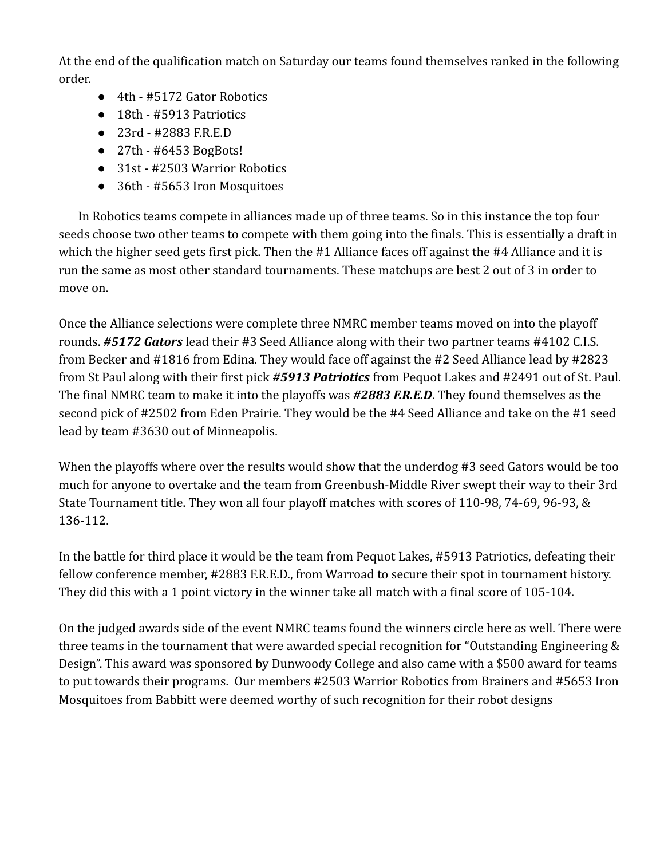At the end of the qualification match on Saturday our teams found themselves ranked in the following order.

- 4th #5172 Gator Robotics
- 18th #5913 Patriotics
- 23rd #2883 F.R.E.D
- $\bullet$  27th #6453 BogBots!
- 31st #2503 Warrior Robotics
- 36th #5653 Iron Mosquitoes

In Robotics teams compete in alliances made up of three teams. So in this instance the top four seeds choose two other teams to compete with them going into the finals. This is essentially a draft in which the higher seed gets first pick. Then the #1 Alliance faces off against the #4 Alliance and it is run the same as most other standard tournaments. These matchups are best 2 out of 3 in order to move on.

Once the Alliance selections were complete three NMRC member teams moved on into the playoff rounds. *#5172 Gators* lead their #3 Seed Alliance along with their two partner teams #4102 C.I.S. from Becker and #1816 from Edina. They would face off against the #2 Seed Alliance lead by #2823 from St Paul along with their first pick *#5913 Patriotics* from Pequot Lakes and #2491 out of St. Paul. The final NMRC team to make it into the playoffs was *#2883 F.R.E.D*. They found themselves as the second pick of #2502 from Eden Prairie. They would be the #4 Seed Alliance and take on the #1 seed lead by team #3630 out of Minneapolis.

When the playoffs where over the results would show that the underdog #3 seed Gators would be too much for anyone to overtake and the team from Greenbush-Middle River swept their way to their 3rd State Tournament title. They won all four playoff matches with scores of 110-98, 74-69, 96-93, & 136-112.

In the battle for third place it would be the team from Pequot Lakes, #5913 Patriotics, defeating their fellow conference member, #2883 F.R.E.D., from Warroad to secure their spot in tournament history. They did this with a 1 point victory in the winner take all match with a final score of 105-104.

On the judged awards side of the event NMRC teams found the winners circle here as well. There were three teams in the tournament that were awarded special recognition for "Outstanding Engineering & Design". This award was sponsored by Dunwoody College and also came with a \$500 award for teams to put towards their programs. Our members #2503 Warrior Robotics from Brainers and #5653 Iron Mosquitoes from Babbitt were deemed worthy of such recognition for their robot designs